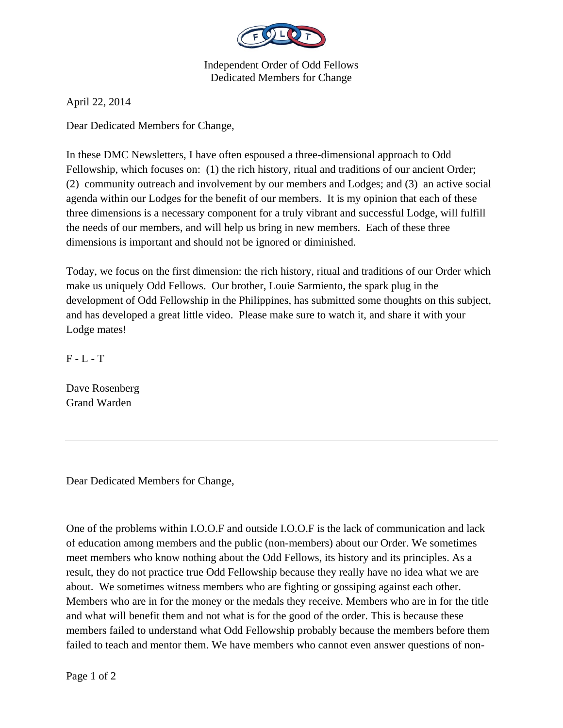

Independent Order of Odd Fellows Dedicated Members for Change

April 22, 2014

Dear Dedicated Members for Change,

In these DMC Newsletters, I have often espoused a three-dimensional approach to Odd Fellowship, which focuses on: (1) the rich history, ritual and traditions of our ancient Order; (2) community outreach and involvement by our members and Lodges; and (3) an active social agenda within our Lodges for the benefit of our members. It is my opinion that each of these three dimensions is a necessary component for a truly vibrant and successful Lodge, will fulfill the needs of our members, and will help us bring in new members. Each of these three dimensions is important and should not be ignored or diminished.

Today, we focus on the first dimension: the rich history, ritual and traditions of our Order which make us uniquely Odd Fellows. Our brother, Louie Sarmiento, the spark plug in the development of Odd Fellowship in the Philippines, has submitted some thoughts on this subject, and has developed a great little video. Please make sure to watch it, and share it with your Lodge mates!

 $F - L - T$ 

Dave Rosenberg Grand Warden

Dear Dedicated Members for Change,

One of the problems within I.O.O.F and outside I.O.O.F is the lack of communication and lack of education among members and the public (non-members) about our Order. We sometimes meet members who know nothing about the Odd Fellows, its history and its principles. As a result, they do not practice true Odd Fellowship because they really have no idea what we are about. We sometimes witness members who are fighting or gossiping against each other. Members who are in for the money or the medals they receive. Members who are in for the title and what will benefit them and not what is for the good of the order. This is because these members failed to understand what Odd Fellowship probably because the members before them failed to teach and mentor them. We have members who cannot even answer questions of non-